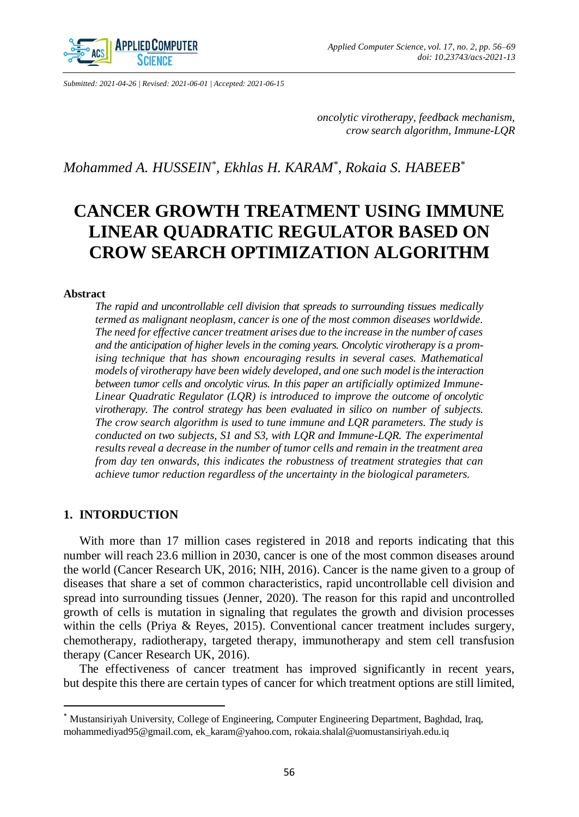

*Submitted: 2021-04-26 | Revised: 2021-06-01 | Accepted: 2021-06-15*

*oncolytic virotherapy, feedback mechanism, crow search algorithm, Immune-LQR*

*Mohammed A. HUSSEIN\* , Ekhlas H. KARAM\* , Rokaia S. HABEEB\**

# **CANCER GROWTH TREATMENT USING IMMUNE LINEAR QUADRATIC REGULATOR BASED ON CROW SEARCH OPTIMIZATION ALGORITHM**

## **Abstract**

*The rapid and uncontrollable cell division that spreads to surrounding tissues medically termed as malignant neoplasm, cancer is one of the most common diseases worldwide. The need for effective cancer treatment arises due to the increase in the number of cases and the anticipation of higher levels in the coming years. Oncolytic virotherapy is a promising technique that has shown encouraging results in several cases. Mathematical models of virotherapy have been widely developed, and one such model is the interaction between tumor cells and oncolytic virus. In this paper an artificially optimized Immune-Linear Quadratic Regulator (LQR) is introduced to improve the outcome of oncolytic virotherapy. The control strategy has been evaluated in silico on number of subjects. The crow search algorithm is used to tune immune and LQR parameters. The study is conducted on two subjects, S1 and S3, with LQR and Immune-LQR. The experimental results reveal a decrease in the number of tumor cells and remain in the treatment area from day ten onwards, this indicates the robustness of treatment strategies that can achieve tumor reduction regardless of the uncertainty in the biological parameters.*

# **1. INTORDUCTION**

 $\overline{\phantom{a}}$ 

With more than 17 million cases registered in 2018 and reports indicating that this number will reach 23.6 million in 2030, cancer is one of the most common diseases around the world (Cancer Research UK, 2016; NIH, 2016). Cancer is the name given to a group of diseases that share a set of common characteristics, rapid uncontrollable cell division and spread into surrounding tissues (Jenner, 2020). The reason for this rapid and uncontrolled growth of cells is mutation in signaling that regulates the growth and division processes within the cells (Priya & Reyes, 2015). Conventional cancer treatment includes surgery, chemotherapy, radiotherapy, targeted therapy, immunotherapy and stem cell transfusion therapy (Cancer Research UK, 2016).

The effectiveness of cancer treatment has improved significantly in recent years, but despite this there are certain types of cancer for which treatment options are still limited,

<sup>\*</sup> Mustansiriyah University, College of Engineering, Computer Engineering Department, Baghdad, Iraq, mohammediyad95@gmail.com, ek\_karam@yahoo.com, rokaia.shalal@uomustansiriyah.edu.iq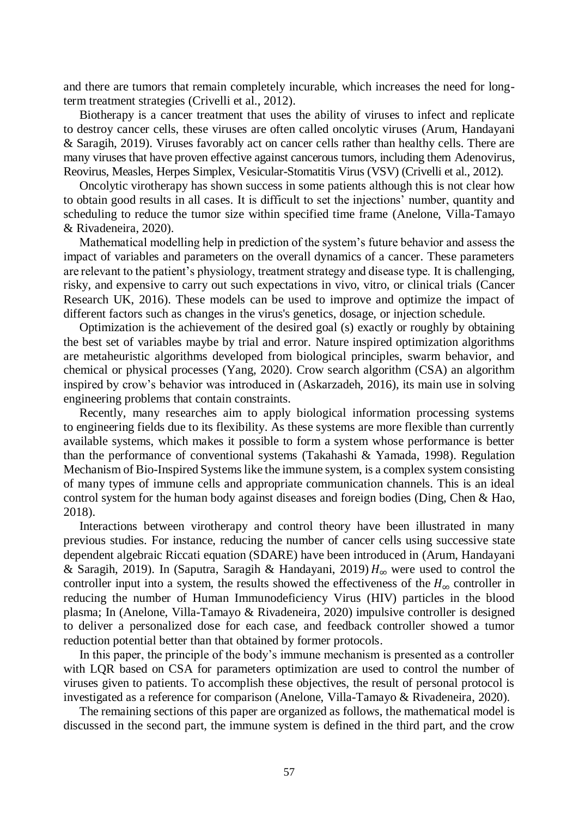and there are tumors that remain completely incurable, which increases the need for longterm treatment strategies (Crivelli et al., 2012).

Biotherapy is a cancer treatment that uses the ability of viruses to infect and replicate to destroy cancer cells, these viruses are often called oncolytic viruses (Arum, Handayani & Saragih, 2019). Viruses favorably act on cancer cells rather than healthy cells. There are many viruses that have proven effective against cancerous tumors, including them Adenovirus, Reovirus, Measles, Herpes Simplex, Vesicular-Stomatitis Virus (VSV) (Crivelli et al., 2012).

Oncolytic virotherapy has shown success in some patients although this is not clear how to obtain good results in all cases. It is difficult to set the injections' number, quantity and scheduling to reduce the tumor size within specified time frame (Anelone, Villa-Tamayo & Rivadeneira, 2020).

Mathematical modelling help in prediction of the system's future behavior and assess the impact of variables and parameters on the overall dynamics of a cancer. These parameters are relevant to the patient's physiology, treatment strategy and disease type. It is challenging, risky, and expensive to carry out such expectations in vivo, vitro, or clinical trials (Cancer Research UK, 2016). These models can be used to improve and optimize the impact of different factors such as changes in the virus's genetics, dosage, or injection schedule.

Optimization is the achievement of the desired goal (s) exactly or roughly by obtaining the best set of variables maybe by trial and error. Nature inspired optimization algorithms are metaheuristic algorithms developed from biological principles, swarm behavior, and chemical or physical processes (Yang, 2020). Crow search algorithm (CSA) an algorithm inspired by crow's behavior was introduced in (Askarzadeh, 2016), its main use in solving engineering problems that contain constraints.

Recently, many researches aim to apply biological information processing systems to engineering fields due to its flexibility. As these systems are more flexible than currently available systems, which makes it possible to form a system whose performance is better than the performance of conventional systems (Takahashi & Yamada, 1998). Regulation Mechanism of Bio-Inspired Systems like the immune system, is a complex system consisting of many types of immune cells and appropriate communication channels. This is an ideal control system for the human body against diseases and foreign bodies (Ding, Chen & Hao, 2018).

Interactions between virotherapy and control theory have been illustrated in many previous studies. For instance, reducing the number of cancer cells using successive state dependent algebraic Riccati equation (SDARE) have been introduced in (Arum, Handayani & Saragih, 2019). In (Saputra, Saragih & Handayani, 2019)  $H_{\infty}$  were used to control the controller input into a system, the results showed the effectiveness of the  $H_{\infty}$  controller in reducing the number of Human Immunodeficiency Virus (HIV) particles in the blood plasma; In (Anelone, Villa-Tamayo & Rivadeneira, 2020) impulsive controller is designed to deliver a personalized dose for each case, and feedback controller showed a tumor reduction potential better than that obtained by former protocols.

In this paper, the principle of the body's immune mechanism is presented as a controller with LQR based on CSA for parameters optimization are used to control the number of viruses given to patients. To accomplish these objectives, the result of personal protocol is investigated as a reference for comparison (Anelone, Villa-Tamayo & Rivadeneira, 2020).

The remaining sections of this paper are organized as follows, the mathematical model is discussed in the second part, the immune system is defined in the third part, and the crow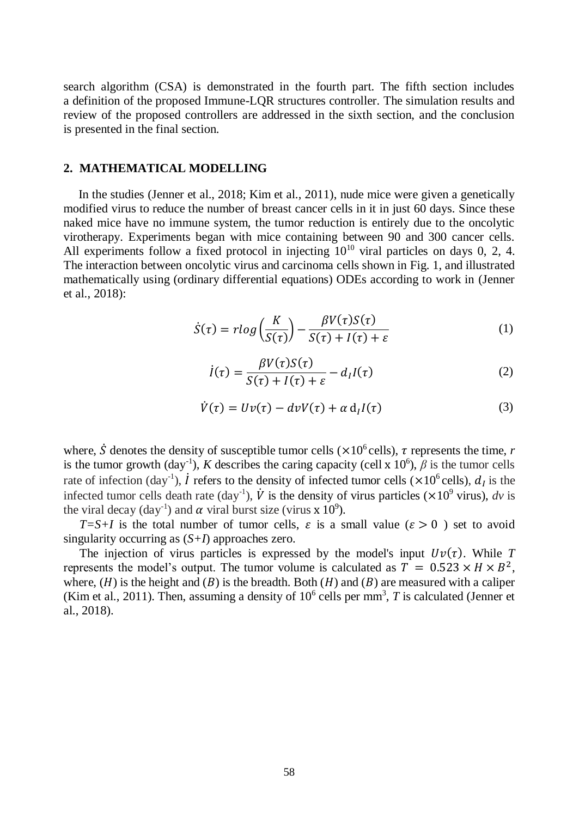search algorithm (CSA) is demonstrated in the fourth part. The fifth section includes a definition of the proposed Immune-LQR structures controller. The simulation results and review of the proposed controllers are addressed in the sixth section, and the conclusion is presented in the final section.

# **2. MATHEMATICAL MODELLING**

In the studies (Jenner et al., 2018; Kim et al., 2011), nude mice were given a genetically modified virus to reduce the number of breast cancer cells in it in just 60 days. Since these naked mice have no immune system, the tumor reduction is entirely due to the oncolytic virotherapy. Experiments began with mice containing between 90 and 300 cancer cells. All experiments follow a fixed protocol in injecting  $10^{10}$  viral particles on days 0, 2, 4. The interaction between oncolytic virus and carcinoma cells shown in Fig. 1, and illustrated mathematically using (ordinary differential equations) ODEs according to work in (Jenner et al., 2018):

$$
\dot{S}(\tau) = r \log \left( \frac{K}{S(\tau)} \right) - \frac{\beta V(\tau) S(\tau)}{S(\tau) + I(\tau) + \varepsilon} \tag{1}
$$

$$
\dot{I}(\tau) = \frac{\beta V(\tau)S(\tau)}{S(\tau) + I(\tau) + \varepsilon} - d_I I(\tau) \tag{2}
$$

$$
\dot{V}(\tau) = Uv(\tau) - dvV(\tau) + \alpha \, \mathrm{d}_I I(\tau) \tag{3}
$$

where,  $\dot{S}$  denotes the density of susceptible tumor cells ( $\times 10^6$  cells),  $\tau$  represents the time, *r* is the tumor growth (day<sup>-1</sup>), *K* describes the caring capacity (cell x 10<sup>6</sup>),  $\beta$  is the tumor cells rate of infection (day<sup>-1</sup>),  $\dot{I}$  refers to the density of infected tumor cells ( $\times 10^6$  cells),  $d_I$  is the infected tumor cells death rate  $(\text{day}^{-1})$ ,  $\dot{V}$  is the density of virus particles ( $\times 10^9$  virus), *dv* is the viral decay (day<sup>-1</sup>) and  $\alpha$  viral burst size (virus x 10<sup>9</sup>).

 $T=S+I$  is the total number of tumor cells,  $\varepsilon$  is a small value ( $\varepsilon > 0$ ) set to avoid singularity occurring as (*S+I*) approaches zero.

The injection of virus particles is expressed by the model's input  $Uv(\tau)$ . While T represents the model's output. The tumor volume is calculated as  $T = 0.523 \times H \times B^2$ , where,  $(H)$  is the height and  $(B)$  is the breadth. Both  $(H)$  and  $(B)$  are measured with a caliper (Kim et al., 2011). Then, assuming a density of  $10^6$  cells per mm<sup>3</sup>, T is calculated (Jenner et al., 2018).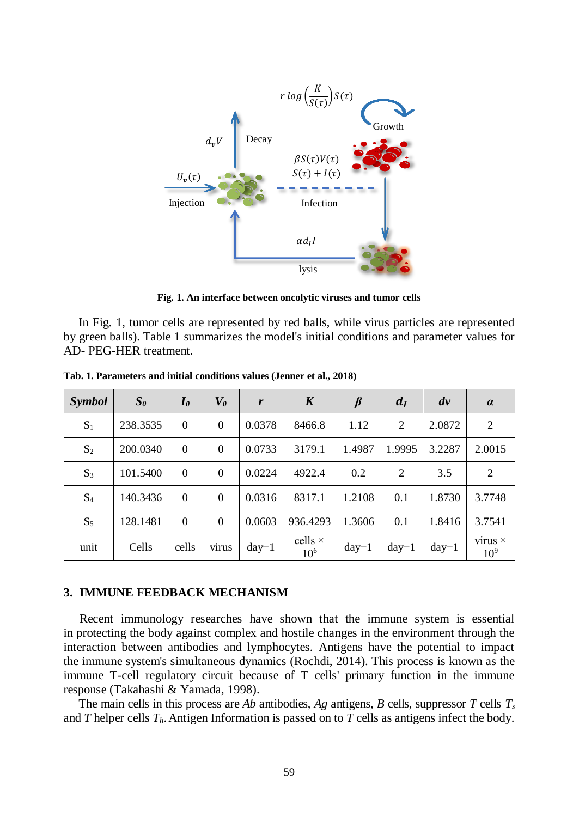

**Fig. 1. An interface between oncolytic viruses and tumor cells**

In Fig. 1, tumor cells are represented by red balls, while virus particles are represented by green balls). Table 1 summarizes the model's initial conditions and parameter values for AD- PEG-HER treatment.

| <i>Symbol</i>  | $S_{\theta}$ | $I_{\theta}$   | $\boldsymbol{V_0}$ | r       | $\boldsymbol{K}$           | $\beta$ | $d_I$   | $d\nu$  | $\alpha$                          |
|----------------|--------------|----------------|--------------------|---------|----------------------------|---------|---------|---------|-----------------------------------|
| $S_1$          | 238.3535     | $\theta$       | $\overline{0}$     | 0.0378  | 8466.8                     | 1.12    | 2       | 2.0872  | 2                                 |
| $S_2$          | 200.0340     | $\theta$       | $\overline{0}$     | 0.0733  | 3179.1                     | 1.4987  | 1.9995  | 3.2287  | 2.0015                            |
| $S_3$          | 101.5400     | $\theta$       | $\overline{0}$     | 0.0224  | 4922.4                     | 0.2     | 2       | 3.5     | 2                                 |
| S <sub>4</sub> | 140.3436     | $\overline{0}$ | $\overline{0}$     | 0.0316  | 8317.1                     | 1.2108  | 0.1     | 1.8730  | 3.7748                            |
| $S_5$          | 128.1481     | $\theta$       | $\Omega$           | 0.0603  | 936.4293                   | 1.3606  | 0.1     | 1.8416  | 3.7541                            |
| unit           | Cells        | cells          | virus              | $day-1$ | cells $\times$<br>$10^{6}$ | $day-1$ | $day-1$ | $day-1$ | virus $\times$<br>10 <sup>9</sup> |

**Tab. 1. Parameters and initial conditions values (Jenner et al., 2018)**

### **3. IMMUNE FEEDBACK MECHANISM**

Recent immunology researches have shown that the immune system is essential in protecting the body against complex and hostile changes in the environment through the interaction between antibodies and lymphocytes. Antigens have the potential to impact the immune system's simultaneous dynamics (Rochdi, 2014). This process is known as the immune T-cell regulatory circuit because of T cells' primary function in the immune response (Takahashi & Yamada, 1998).

The main cells in this process are *Ab* antibodies, *Ag* antigens, *B* cells, suppressor *T* cells *T<sup>s</sup>* and *T* helper cells *Th*.Antigen Information is passed on to *T* cells as antigens infect the body.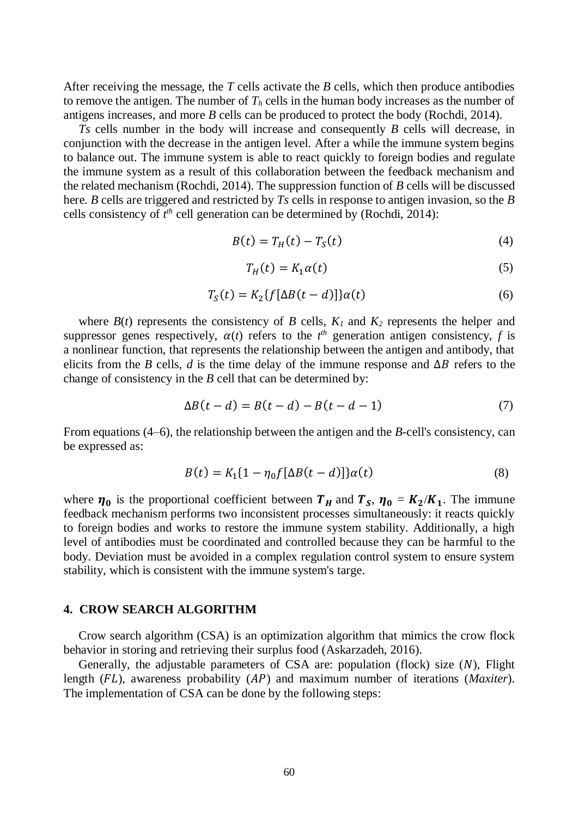After receiving the message, the *T* cells activate the *B* cells, which then produce antibodies to remove the antigen. The number of  $T_h$  cells in the human body increases as the number of antigens increases, and more *B* cells can be produced to protect the body (Rochdi, 2014).

*Ts* cells number in the body will increase and consequently *B* cells will decrease, in conjunction with the decrease in the antigen level. After a while the immune system begins to balance out. The immune system is able to react quickly to foreign bodies and regulate the immune system as a result of this collaboration between the feedback mechanism and the related mechanism (Rochdi, 2014). The suppression function of *B* cells will be discussed here. *B* cells are triggered and restricted by *Ts* cells in response to antigen invasion, so the *B* cells consistency of *t th* cell generation can be determined by (Rochdi, 2014):

$$
B(t) = T_H(t) - T_S(t) \tag{4}
$$

$$
T_H(t) = K_1 \alpha(t) \tag{5}
$$

$$
T_S(t) = K_2\{f[\Delta B(t-d)]\}\alpha(t)
$$
\n(6)

where  $B(t)$  represents the consistency of *B* cells,  $K_I$  and  $K_2$  represents the helper and suppressor genes respectively,  $\alpha(t)$  refers to the  $t^{th}$  generation antigen consistency, f is a nonlinear function, that represents the relationship between the antigen and antibody, that elicits from the *B* cells, *d* is the time delay of the immune response and  $\Delta B$  refers to the change of consistency in the *B* cell that can be determined by:

$$
\Delta B(t-d) = B(t-d) - B(t-d-1) \tag{7}
$$

From equations (4–6), the relationship between the antigen and the *B*-cell's consistency, can be expressed as:

$$
B(t) = K_1 \{1 - \eta_0 f[\Delta B(t - d)]\} \alpha(t)
$$
\n(8)

where  $\eta_0$  is the proportional coefficient between  $T_H$  and  $T_S$ ,  $\eta_0 = K_2/K_1$ . The immune feedback mechanism performs two inconsistent processes simultaneously: it reacts quickly to foreign bodies and works to restore the immune system stability. Additionally, a high level of antibodies must be coordinated and controlled because they can be harmful to the body. Deviation must be avoided in a complex regulation control system to ensure system stability, which is consistent with the immune system's targe.

# **4. CROW SEARCH ALGORITHM**

Crow search algorithm (CSA) is an optimization algorithm that mimics the crow flock behavior in storing and retrieving their surplus food (Askarzadeh, 2016).

Generally, the adjustable parameters of CSA are: population (flock) size  $(N)$ , Flight length (FL), awareness probability (AP) and maximum number of iterations (*Maxiter*). The implementation of CSA can be done by the following steps: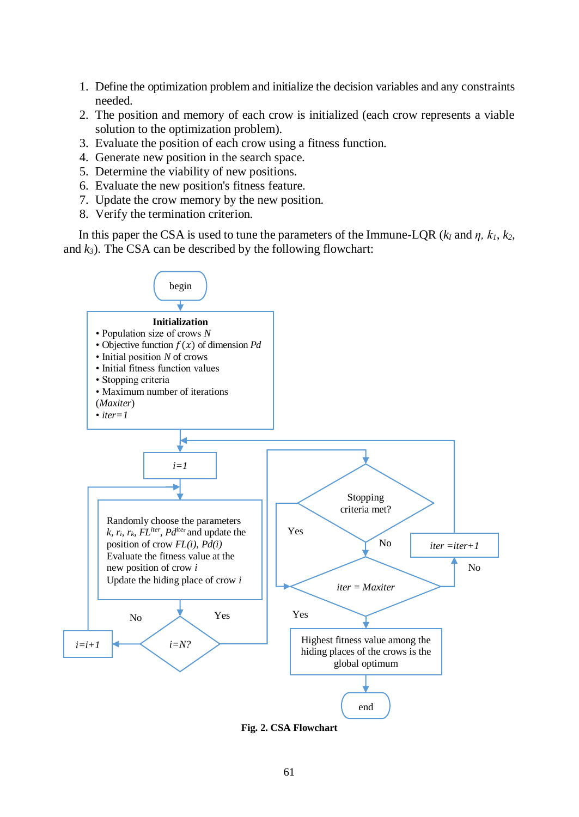- 1. Define the optimization problem and initialize the decision variables and any constraints needed.
- 2. The position and memory of each crow is initialized (each crow represents a viable solution to the optimization problem).
- 3. Evaluate the position of each crow using a fitness function.
- 4. Generate new position in the search space.
- 5. Determine the viability of new positions.
- 6. Evaluate the new position's fitness feature.
- 7. Update the crow memory by the new position.
- 8. Verify the termination criterion.

In this paper the CSA is used to tune the parameters of the Immune-LQR ( $k_1$  and  $\eta$ ,  $k_1$ ,  $k_2$ , and  $k_3$ ). The CSA can be described by the following flowchart:



**Fig. 2. CSA Flowchart**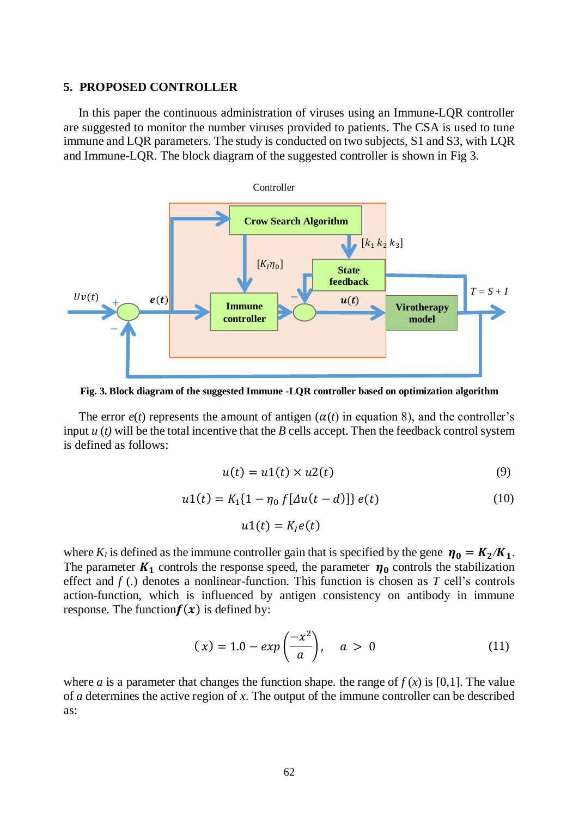#### **5. PROPOSED CONTROLLER**

In this paper the continuous administration of viruses using an Immune-LQR controller are suggested to monitor the number viruses provided to patients. The CSA is used to tune immune and LQR parameters. The study is conducted on two subjects, S1 and S3, with LQR and Immune-LQR. The block diagram of the suggested controller is shown in Fig 3.



**Fig. 3. Block diagram of the suggested Immune -LQR controller based on optimization algorithm**

The error  $e(t)$  represents the amount of antigen  $(\alpha(t)$  in equation 8), and the controller's input *u* (*t)* will be the total incentive that the *B* cells accept. Then the feedback control system is defined as follows:

$$
u(t) = u1(t) \times u2(t) \tag{9}
$$

$$
u1(t) = K_1\{1 - \eta_0 f[\Delta u(t - d)]\} e(t)
$$
\n
$$
u1(t) = K_1 e(t)
$$
\n(10)

where  $K_l$  is defined as the immune controller gain that is specified by the gene  $\eta_0 = K_2/K_1$ . The parameter  $K_1$  controls the response speed, the parameter  $\eta_0$  controls the stabilization effect and  $f(.)$  denotes a nonlinear-function. This function is chosen as  $T$  cell's controls action-function, which is influenced by antigen consistency on antibody in immune response. The function  $f(x)$  is defined by:

$$
(x) = 1.0 - exp\left(\frac{-x^2}{a}\right), \quad a > 0 \tag{11}
$$

where *a* is a parameter that changes the function shape. the range of  $f(x)$  is [0,1]. The value of *a* determines the active region of *x*. The output of the immune controller can be described as: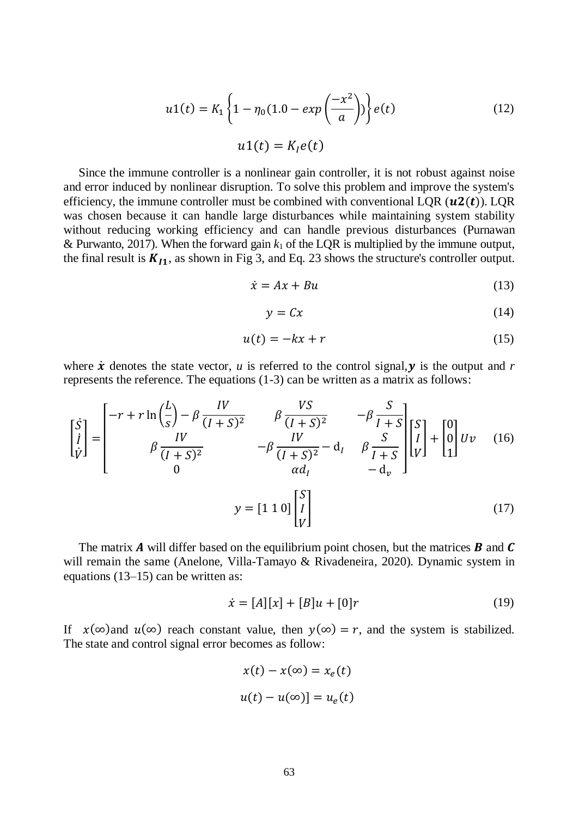$$
u1(t) = K_1 \left\{ 1 - \eta_0 (1.0 - exp\left(\frac{-x^2}{a}\right)) \right\} e(t)
$$
  

$$
u1(t) = K_I e(t)
$$
 (12)

Since the immune controller is a nonlinear gain controller, it is not robust against noise and error induced by nonlinear disruption. To solve this problem and improve the system's efficiency, the immune controller must be combined with conventional LQR  $(u2(t))$ . LQR was chosen because it can handle large disturbances while maintaining system stability without reducing working efficiency and can handle previous disturbances (Purnawan & Purwanto, 2017). When the forward gain  $k_1$  of the LQR is multiplied by the immune output, the final result is  $K_{I1}$ , as shown in Fig 3, and Eq. 23 shows the structure's controller output.

$$
\dot{x} = Ax + Bu \tag{13}
$$

$$
y = Cx \tag{14}
$$

$$
u(t) = -kx + r \tag{15}
$$

where  $\dot{x}$  denotes the state vector, *u* is referred to the control signal,  $y$  is the output and  $r$ represents the reference. The equations (1-3) can be written as a matrix as follows:

$$
\begin{bmatrix} \dot{S} \\ \dot{l} \\ \dot{V} \end{bmatrix} = \begin{bmatrix} -r + r \ln\left(\frac{l}{s}\right) - \beta \frac{IV}{(I+S)^2} & \beta \frac{VS}{(I+S)^2} & -\beta \frac{S}{I+S} \\ 0 & -\beta \frac{IV}{(I+S)^2} - d_I & \beta \frac{S}{I+S} \\ 0 & a d_I & -d_v \end{bmatrix} \begin{bmatrix} S \\ \dot{l} \\ V \end{bmatrix} + \begin{bmatrix} 0 \\ 0 \\ 1 \end{bmatrix} Uv \quad (16)
$$

$$
y = \begin{bmatrix} 1 & 1 & 0 \end{bmatrix} \begin{bmatrix} S \\ \dot{l} \\ V \end{bmatrix}
$$
(17)

The matrix A will differ based on the equilibrium point chosen, but the matrices  $\bm{B}$  and  $\bm{C}$ will remain the same (Anelone, Villa-Tamayo & Rivadeneira, 2020). Dynamic system in equations (13–15) can be written as:

$$
\dot{x} = [A][x] + [B]u + [0]r \tag{19}
$$

If  $x(\infty)$  and  $u(\infty)$  reach constant value, then  $y(\infty) = r$ , and the system is stabilized. The state and control signal error becomes as follow:

> $x(t) - x(\infty) = x_{\rho}(t)$  $u(t) - u(\infty)] = u_e(t)$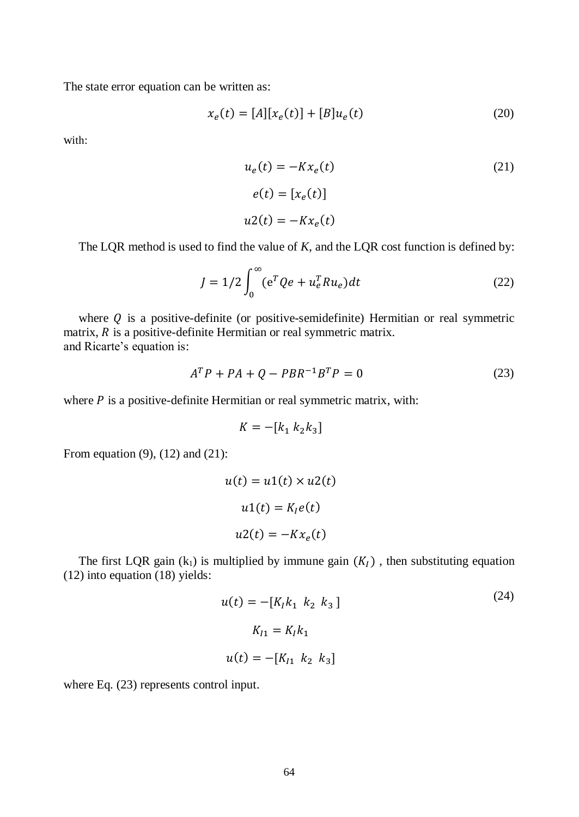The state error equation can be written as:

$$
x_e(t) = [A][x_e(t)] + [B]u_e(t)
$$
\n(20)

with:

$$
u_e(t) = -Kx_e(t)
$$
  
\n
$$
e(t) = [x_e(t)]
$$
  
\n
$$
u(t) = -Kx_e(t)
$$
\n(21)

The LQR method is used to find the value of *K*, and the LQR cost function is defined by:

$$
J = 1/2 \int_0^\infty (e^T Q e + u_e^T R u_e) dt
$$
 (22)

where  $Q$  is a positive-definite (or positive-semidefinite) Hermitian or real symmetric matrix,  $R$  is a positive-definite Hermitian or real symmetric matrix. and Ricarte's equation is:

$$
ATP + PA + Q - PBR-1BTP = 0
$$
\n(23)

where  $P$  is a positive-definite Hermitian or real symmetric matrix, with:

$$
K = -[k_1 \; k_2 k_3]
$$

From equation (9), (12) and (21):

$$
u(t) = u1(t) \times u2(t)
$$

$$
u1(t) = KIe(t)
$$

$$
u2(t) = -Kxe(t)
$$

The first LQR gain  $(k_1)$  is multiplied by immune gain  $(K<sub>I</sub>)$ , then substituting equation (12) into equation (18) yields:

$$
u(t) = -[K_1k_1 \ k_2 \ k_3]
$$
  
\n
$$
K_{I1} = K_1k_1
$$
  
\n
$$
u(t) = -[K_{I1} \ k_2 \ k_3]
$$
 (24)

 $(24)$ 

where Eq. (23) represents control input.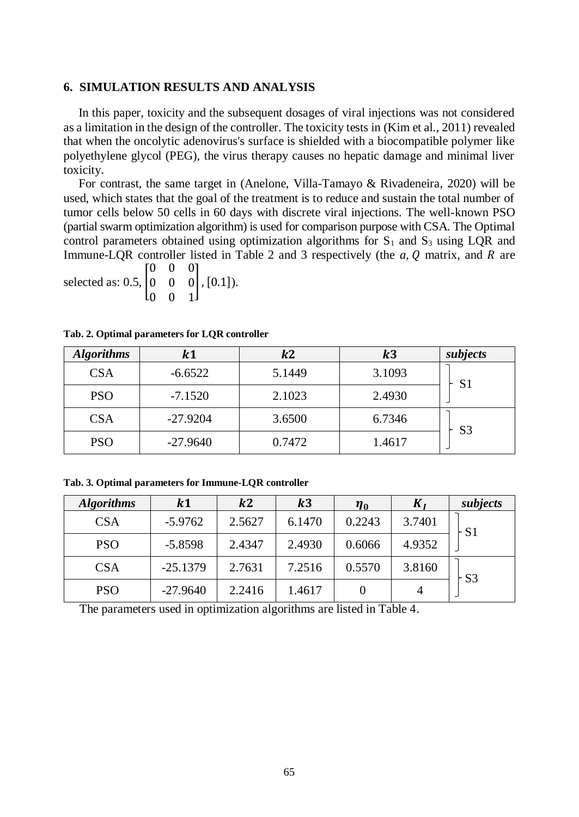# **6. SIMULATION RESULTS AND ANALYSIS**

In this paper, toxicity and the subsequent dosages of viral injections was not considered as a limitation in the design of the controller. The toxicity tests in (Kim et al., 2011) revealed that when the oncolytic adenovirus's surface is shielded with a biocompatible polymer like polyethylene glycol (PEG), the virus therapy causes no hepatic damage and minimal liver toxicity.

For contrast, the same target in (Anelone, Villa-Tamayo & Rivadeneira, 2020) will be used, which states that the goal of the treatment is to reduce and sustain the total number of tumor cells below 50 cells in 60 days with discrete viral injections. The well-known PSO (partial swarm optimization algorithm) is used for comparison purpose with CSA. The Optimal control parameters obtained using optimization algorithms for  $S_1$  and  $S_3$  using LQR and Immune-LOR controller listed in Table 2 and 3 respectively (the  $a, 0$  matrix, and  $R$  are 0 0 0

selected as:  $0.5,$ 0 0 0 0 0 1 ],[0.1]).

| <b>Algorithms</b> | k1         | k2     | k3     | subjects       |  |
|-------------------|------------|--------|--------|----------------|--|
| <b>CSA</b>        | $-6.6522$  | 5.1449 | 3.1093 | S1             |  |
| <b>PSO</b>        | $-7.1520$  | 2.1023 | 2.4930 |                |  |
| <b>CSA</b>        | $-27.9204$ | 3.6500 | 6.7346 | S <sub>3</sub> |  |
| <b>PSO</b>        | $-27.9640$ | 0.7472 | 1.4617 |                |  |

**Tab. 2. Optimal parameters for LQR controller**

**Tab. 3. Optimal parameters for Immune-LQR controller**

| <b>Algorithms</b> | $\mathbf{k}$ 1 | $\mathbf{k}2$ | k3     | $\eta_0$ | $\mathbf{r}$ | subjects |
|-------------------|----------------|---------------|--------|----------|--------------|----------|
| <b>CSA</b>        | $-5.9762$      | 2.5627        | 6.1470 | 0.2243   | 3.7401       | ⊦S1      |
| <b>PSO</b>        | $-5.8598$      | 2.4347        | 2.4930 | 0.6066   | 4.9352       |          |
| <b>CSA</b>        | $-25.1379$     | 2.7631        | 7.2516 | 0.5570   | 3.8160       | $-S3$    |
| <b>PSO</b>        | $-27.9640$     | 2.2416        | 1.4617 |          |              |          |

The parameters used in optimization algorithms are listed in Table 4.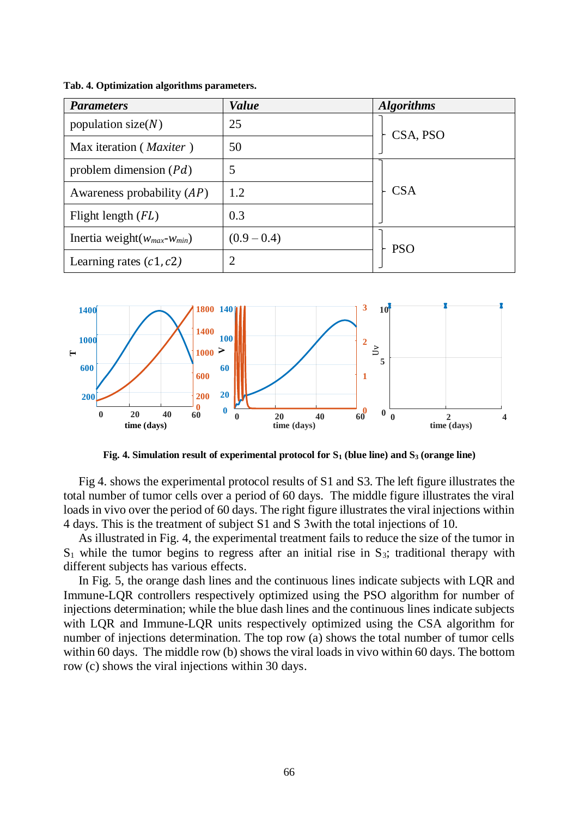| <b>Parameters</b>                  | <b>Value</b>   | <b>Algorithms</b> |  |
|------------------------------------|----------------|-------------------|--|
| population size $(N)$              | 25             | CSA, PSO          |  |
| Max iteration ( <i>Maxiter</i> )   | 50             |                   |  |
| problem dimension $(Pd)$           | 5              |                   |  |
| Awareness probability $(AP)$       | 1.2            | <b>CSA</b>        |  |
| Flight length $(FL)$               | 0.3            |                   |  |
| Inertia weight $(w_{max}-w_{min})$ | $(0.9 - 0.4)$  | <b>PSO</b>        |  |
| Learning rates $(c1, c2)$          | $\overline{2}$ |                   |  |

**Tab. 4. Optimization algorithms parameters.**



**Fig. 4. Simulation result of experimental protocol for S<sup>1</sup> (blue line) and S<sup>3</sup> (orange line)**

Fig 4. shows the experimental protocol results of S1 and S3. The left figure illustrates the total number of tumor cells over a period of 60 days. The middle figure illustrates the viral loads in vivo over the period of 60 days. The right figure illustrates the viral injections within 4 days. This is the treatment of subject S1 and S 3with the total injections of 10.

As illustrated in Fig. 4, the experimental treatment fails to reduce the size of the tumor in  $S_1$  while the tumor begins to regress after an initial rise in  $S_3$ ; traditional therapy with different subjects has various effects.

In Fig. 5, the orange dash lines and the continuous lines indicate subjects with LQR and Immune-LQR controllers respectively optimized using the PSO algorithm for number of injections determination; while the blue dash lines and the continuous lines indicate subjects with LQR and Immune-LQR units respectively optimized using the CSA algorithm for number of injections determination. The top row (a) shows the total number of tumor cells within 60 days. The middle row (b) shows the viral loads in vivo within 60 days. The bottom row (c) shows the viral injections within 30 days.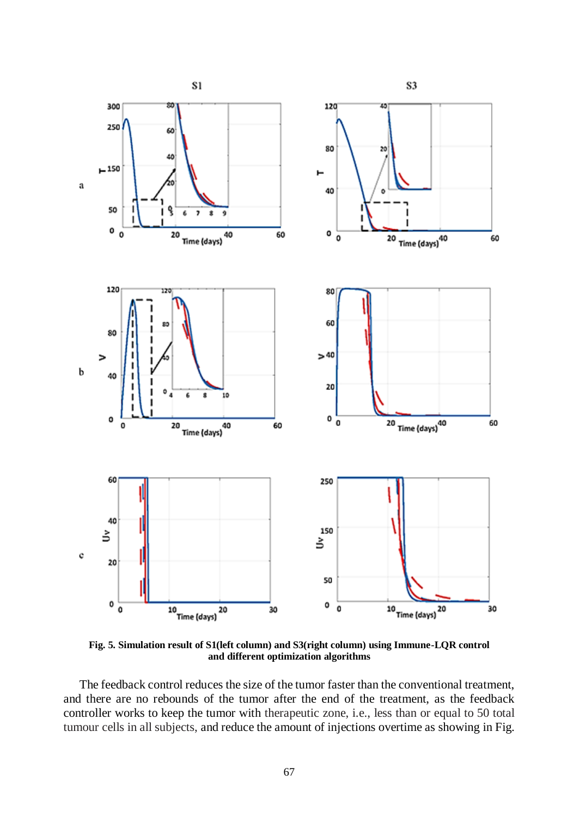

**Fig. 5. Simulation result of S1(left column) and S3(right column) using Immune-LQR control and different optimization algorithms**

The feedback control reduces the size of the tumor faster than the conventional treatment, and there are no rebounds of the tumor after the end of the treatment, as the feedback controller works to keep the tumor with therapeutic zone, i.e., less than or equal to 50 total tumour cells in all subjects, and reduce the amount of injections overtime as showing in Fig.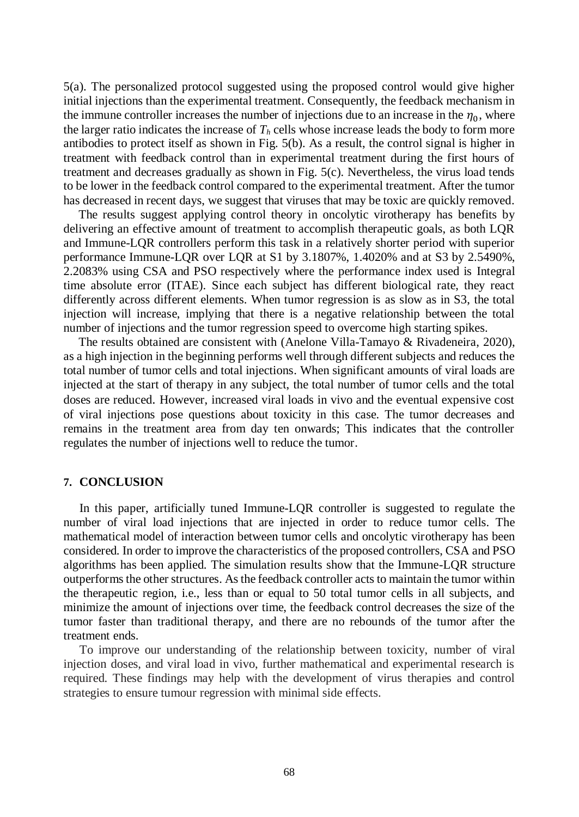5(a). The personalized protocol suggested using the proposed control would give higher initial injections than the experimental treatment. Consequently, the feedback mechanism in the immune controller increases the number of injections due to an increase in the  $\eta_0$ , where the larger ratio indicates the increase of  $T_h$  cells whose increase leads the body to form more antibodies to protect itself as shown in Fig. 5(b). As a result, the control signal is higher in treatment with feedback control than in experimental treatment during the first hours of treatment and decreases gradually as shown in Fig. 5(c). Nevertheless, the virus load tends to be lower in the feedback control compared to the experimental treatment. After the tumor has decreased in recent days, we suggest that viruses that may be toxic are quickly removed.

The results suggest applying control theory in oncolytic virotherapy has benefits by delivering an effective amount of treatment to accomplish therapeutic goals, as both LQR and Immune-LQR controllers perform this task in a relatively shorter period with superior performance Immune-LQR over LQR at S1 by 3.1807%, 1.4020% and at S3 by 2.5490%, 2.2083% using CSA and PSO respectively where the performance index used is Integral time absolute error (ITAE). Since each subject has different biological rate, they react differently across different elements. When tumor regression is as slow as in S3, the total injection will increase, implying that there is a negative relationship between the total number of injections and the tumor regression speed to overcome high starting spikes.

The results obtained are consistent with (Anelone Villa-Tamayo & Rivadeneira, 2020), as a high injection in the beginning performs well through different subjects and reduces the total number of tumor cells and total injections. When significant amounts of viral loads are injected at the start of therapy in any subject, the total number of tumor cells and the total doses are reduced. However, increased viral loads in vivo and the eventual expensive cost of viral injections pose questions about toxicity in this case. The tumor decreases and remains in the treatment area from day ten onwards; This indicates that the controller regulates the number of injections well to reduce the tumor.

# **7. CONCLUSION**

In this paper, artificially tuned Immune-LQR controller is suggested to regulate the number of viral load injections that are injected in order to reduce tumor cells. The mathematical model of interaction between tumor cells and oncolytic virotherapy has been considered. In order to improve the characteristics of the proposed controllers, CSA and PSO algorithms has been applied. The simulation results show that the Immune-LQR structure outperforms the other structures. As the feedback controller acts to maintain the tumor within the therapeutic region, i.e., less than or equal to 50 total tumor cells in all subjects, and minimize the amount of injections over time, the feedback control decreases the size of the tumor faster than traditional therapy, and there are no rebounds of the tumor after the treatment ends.

To improve our understanding of the relationship between toxicity, number of viral injection doses, and viral load in vivo, further mathematical and experimental research is required. These findings may help with the development of virus therapies and control strategies to ensure tumour regression with minimal side effects.